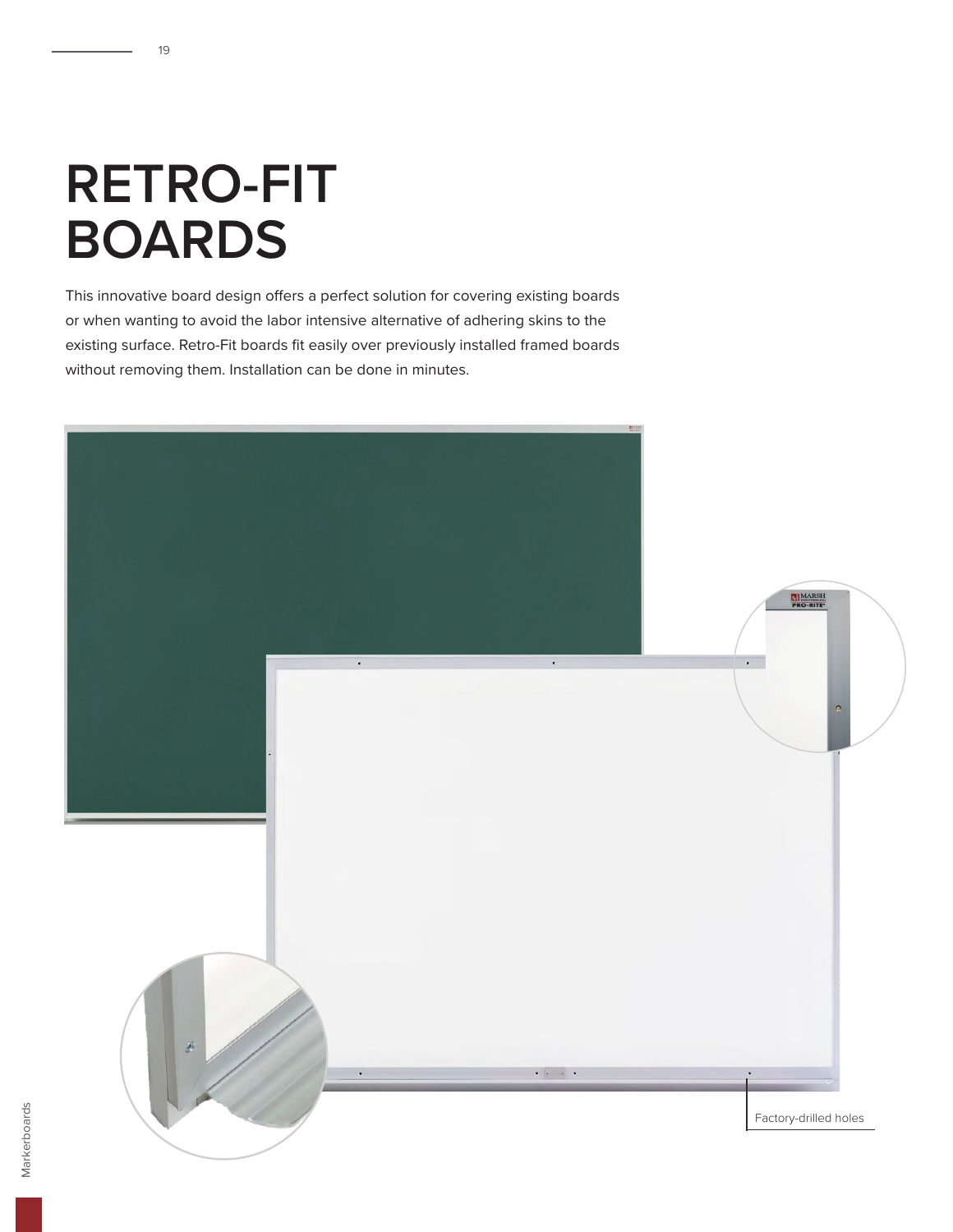## **RETRO-FIT BOARDS**

19

This innovative board design offers a perfect solution for covering existing boards or when wanting to avoid the labor intensive alternative of adhering skins to the existing surface. Retro-Fit boards fit easily over previously installed framed boards without removing them. Installation can be done in minutes.